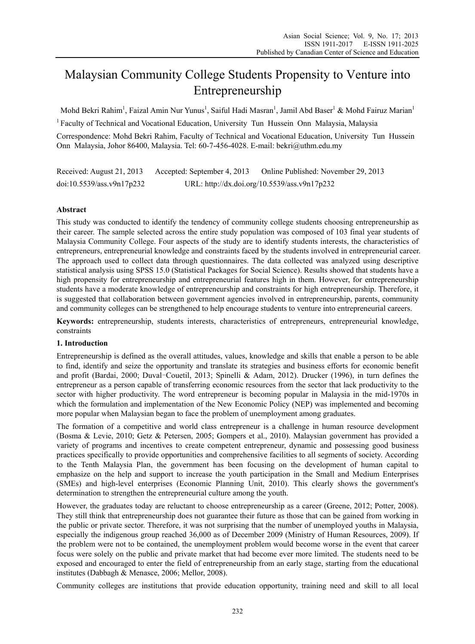# Malaysian Community College Students Propensity to Venture into Entrepreneurship

Mohd Bekri Rahim<sup>1</sup>, Faizal Amin Nur Yunus<sup>1</sup>, Saiful Hadi Masran<sup>1</sup>, Jamil Abd Baser<sup>1</sup> & Mohd Fairuz Marian<sup>1</sup>

<sup>1</sup> Faculty of Technical and Vocational Education, University Tun Hussein Onn Malaysia, Malaysia

Correspondence: Mohd Bekri Rahim, Faculty of Technical and Vocational Education, University Tun Hussein Onn Malaysia, Johor 86400, Malaysia. Tel: 60-7-456-4028. E-mail: bekri@uthm.edu.my

Received: August 21, 2013 Accepted: September 4, 2013 Online Published: November 29, 2013 doi:10.5539/ass.v9n17p232 URL: http://dx.doi.org/10.5539/ass.v9n17p232

# **Abstract**

This study was conducted to identify the tendency of community college students choosing entrepreneurship as their career. The sample selected across the entire study population was composed of 103 final year students of Malaysia Community College. Four aspects of the study are to identify students interests, the characteristics of entrepreneurs, entrepreneurial knowledge and constraints faced by the students involved in entrepreneurial career. The approach used to collect data through questionnaires. The data collected was analyzed using descriptive statistical analysis using SPSS 15.0 (Statistical Packages for Social Science). Results showed that students have a high propensity for entrepreneurship and entrepreneurial features high in them. However, for entrepreneurship students have a moderate knowledge of entrepreneurship and constraints for high entrepreneurship. Therefore, it is suggested that collaboration between government agencies involved in entrepreneurship, parents, community and community colleges can be strengthened to help encourage students to venture into entrepreneurial careers.

**Keywords:** entrepreneurship, students interests, characteristics of entrepreneurs, entrepreneurial knowledge, constraints

#### **1. Introduction**

Entrepreneurship is defined as the overall attitudes, values, knowledge and skills that enable a person to be able to find, identify and seize the opportunity and translate its strategies and business efforts for economic benefit and profit (Bardai, 2000; Duval-Couetil, 2013; Spinelli & Adam, 2012). Drucker (1996), in turn defines the entrepreneur as a person capable of transferring economic resources from the sector that lack productivity to the sector with higher productivity. The word entrepreneur is becoming popular in Malaysia in the mid-1970s in which the formulation and implementation of the New Economic Policy (NEP) was implemented and becoming more popular when Malaysian began to face the problem of unemployment among graduates.

The formation of a competitive and world class entrepreneur is a challenge in human resource development (Bosma & Levie, 2010; Getz & Petersen, 2005; Gompers et al., 2010). Malaysian government has provided a variety of programs and incentives to create competent entrepreneur, dynamic and possessing good business practices specifically to provide opportunities and comprehensive facilities to all segments of society. According to the Tenth Malaysia Plan, the government has been focusing on the development of human capital to emphasize on the help and support to increase the youth participation in the Small and Medium Enterprises (SMEs) and high-level enterprises (Economic Planning Unit, 2010). This clearly shows the government's determination to strengthen the entrepreneurial culture among the youth.

However, the graduates today are reluctant to choose entrepreneurship as a career (Greene, 2012; Potter, 2008). They still think that entrepreneurship does not guarantee their future as those that can be gained from working in the public or private sector. Therefore, it was not surprising that the number of unemployed youths in Malaysia, especially the indigenous group reached 36,000 as of December 2009 (Ministry of Human Resources, 2009). If the problem were not to be contained, the unemployment problem would become worse in the event that career focus were solely on the public and private market that had become ever more limited. The students need to be exposed and encouraged to enter the field of entrepreneurship from an early stage, starting from the educational institutes (Dabbagh & Menasce, 2006; Mellor, 2008).

Community colleges are institutions that provide education opportunity, training need and skill to all local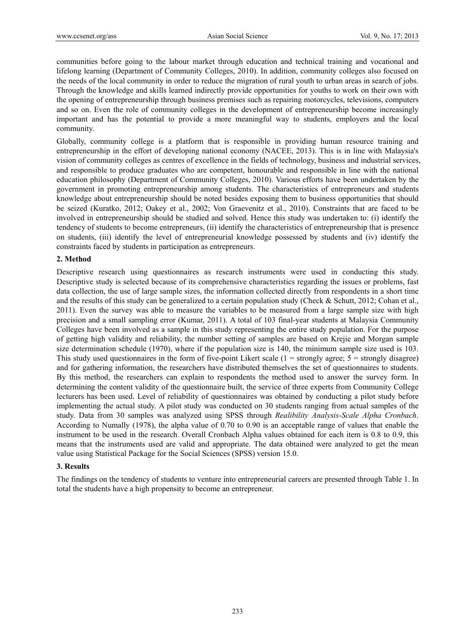communities before going to the labour market through education and technical training and vocational and lifelong learning (Department of Community Colleges, 2010). In addition, community colleges also focused on the needs of the local community in order to reduce the migration of rural youth to urban areas in search of jobs. Through the knowledge and skills learned indirectly provide opportunities for youths to work on their own with the opening of entrepreneurship through business premises such as repairing motorcycles, televisions, computers and so on. Even the role of community colleges in the development of entrepreneurship become increasingly important and has the potential to provide a more meaningful way to students, employers and the local community.

Globally, community college is a platform that is responsible in providing human resource training and entrepreneurship in the effort of developing national economy (NACEE, 2013). This is in line with Malaysia's vision of community colleges as centres of excellence in the fields of technology, business and industrial services, and responsible to produce graduates who are competent, honourable and responsible in line with the national education philosophy (Department of Community Colleges, 2010). Various efforts have been undertaken by the government in promoting entrepreneurship among students. The characteristics of entrepreneurs and students knowledge about entrepreneurship should be noted besides exposing them to business opportunities that should be seized (Kuratko, 2012; Oakey et al., 2002; Von Graevenitz et al., 2010). Constraints that are faced to be involved in entrepreneurship should be studied and solved. Hence this study was undertaken to: (i) identify the tendency of students to become entrepreneurs, (ii) identify the characteristics of entrepreneurship that is presence on students, (iii) identify the level of entrepreneurial knowledge possessed by students and (iv) identify the constraints faced by students in participation as entrepreneurs.

#### **2. Method**

Descriptive research using questionnaires as research instruments were used in conducting this study. Descriptive study is selected because of its comprehensive characteristics regarding the issues or problems, fast data collection, the use of large sample sizes, the information collected directly from respondents in a short time and the results of this study can be generalized to a certain population study (Check & Schutt, 2012; Cohan et al., 2011). Even the survey was able to measure the variables to be measured from a large sample size with high precision and a small sampling error (Kumar, 2011). A total of 103 final-year students at Malaysia Community Colleges have been involved as a sample in this study representing the entire study population. For the purpose of getting high validity and reliability, the number setting of samples are based on Krejie and Morgan sample size determination schedule (1970), where if the population size is 140, the minimum sample size used is 103. This study used questionnaires in the form of five-point Likert scale  $(1 =$  strongly agree;  $5 =$  strongly disagree) and for gathering information, the researchers have distributed themselves the set of questionnaires to students. By this method, the researchers can explain to respondents the method used to answer the survey form. In determining the content validity of the questionnaire built, the service of three experts from Community College lecturers has been used. Level of reliability of questionnaires was obtained by conducting a pilot study before implementing the actual study. A pilot study was conducted on 30 students ranging from actual samples of the study. Data from 30 samples was analyzed using SPSS through *Realibility Analysis-Scale Alpha Cronbach*. According to Numally (1978), the alpha value of 0.70 to 0.90 is an acceptable range of values that enable the instrument to be used in the research. Overall Cronbach Alpha values obtained for each item is 0.8 to 0.9, this means that the instruments used are valid and appropriate. The data obtained were analyzed to get the mean value using Statistical Package for the Social Sciences (SPSS) version 15.0.

#### **3. Results**

The findings on the tendency of students to venture into entrepreneurial careers are presented through Table 1. In total the students have a high propensity to become an entrepreneur.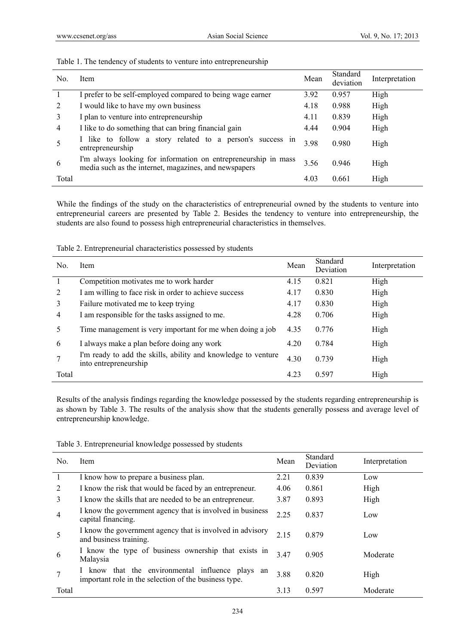| No.            | Item                                                                                                                    | Mean | Standard<br>deviation | Interpretation |
|----------------|-------------------------------------------------------------------------------------------------------------------------|------|-----------------------|----------------|
|                | I prefer to be self-employed compared to being wage earner                                                              | 3.92 | 0.957                 | High           |
| 2              | I would like to have my own business                                                                                    | 4.18 | 0.988                 | High           |
| 3              | I plan to venture into entrepreneurship                                                                                 | 4.11 | 0.839                 | High           |
| $\overline{4}$ | I like to do something that can bring financial gain                                                                    | 4.44 | 0.904                 | High           |
| -5             | I like to follow a story related to a person's success in<br>entrepreneurship                                           | 3.98 | 0.980                 | High           |
| 6              | I'm always looking for information on entrepreneurship in mass<br>media such as the internet, magazines, and newspapers | 3.56 | 0.946                 | High           |
| Total          |                                                                                                                         | 4.03 | 0.661                 | High           |

#### Table 1. The tendency of students to venture into entrepreneurship

While the findings of the study on the characteristics of entrepreneurial owned by the students to venture into entrepreneurial careers are presented by Table 2. Besides the tendency to venture into entrepreneurship, the students are also found to possess high entrepreneurial characteristics in themselves.

| No.   | <b>Item</b>                                                                            | Mean | Standard<br>Deviation | Interpretation |
|-------|----------------------------------------------------------------------------------------|------|-----------------------|----------------|
|       | Competition motivates me to work harder                                                | 4.15 | 0.821                 | High           |
| 2     | I am willing to face risk in order to achieve success                                  | 4.17 | 0.830                 | High           |
| 3     | Failure motivated me to keep trying                                                    | 4.17 | 0.830                 | High           |
| 4     | I am responsible for the tasks assigned to me.                                         | 4.28 | 0.706                 | High           |
| 5     | Time management is very important for me when doing a job                              | 4.35 | 0.776                 | High           |
| 6     | I always make a plan before doing any work                                             | 4.20 | 0.784                 | High           |
|       | I'm ready to add the skills, ability and knowledge to venture<br>into entrepreneurship | 4.30 | 0.739                 | High           |
| Total |                                                                                        | 4.23 | 0.597                 | High           |

Results of the analysis findings regarding the knowledge possessed by the students regarding entrepreneurship is as shown by Table 3. The results of the analysis show that the students generally possess and average level of entrepreneurship knowledge.

| No.   | Item                                                                                                       | Mean | Standard<br>Deviation | Interpretation |
|-------|------------------------------------------------------------------------------------------------------------|------|-----------------------|----------------|
|       | I know how to prepare a business plan.                                                                     | 2.21 | 0.839                 | Low            |
| 2     | I know the risk that would be faced by an entrepreneur.                                                    | 4.06 | 0.861                 | High           |
| 3     | I know the skills that are needed to be an entrepreneur.                                                   | 3.87 | 0.893                 | High           |
| 4     | I know the government agency that is involved in business<br>capital financing.                            | 2.25 | 0.837                 | Low            |
|       | I know the government agency that is involved in advisory<br>and business training.                        | 2.15 | 0.879                 | Low            |
| 6     | I know the type of business ownership that exists in<br>Malaysia                                           | 3.47 | 0.905                 | Moderate       |
|       | that the environmental influence plays an<br>know<br>important role in the selection of the business type. | 3.88 | 0.820                 | High           |
| Total |                                                                                                            | 3.13 | 0.597                 | Moderate       |

Table 3. Entrepreneurial knowledge possessed by students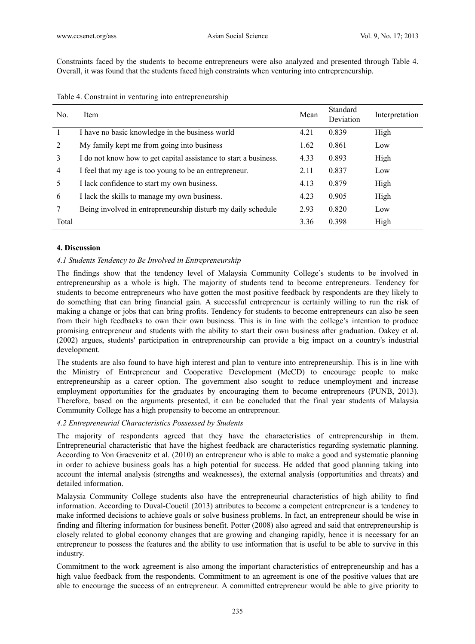Constraints faced by the students to become entrepreneurs were also analyzed and presented through Table 4. Overall, it was found that the students faced high constraints when venturing into entrepreneurship.

| No.   | Item                                                             | Mean | Standard<br>Deviation | Interpretation |
|-------|------------------------------------------------------------------|------|-----------------------|----------------|
|       | I have no basic knowledge in the business world                  | 4.21 | 0.839                 | High           |
| 2     | My family kept me from going into business                       | 1.62 | 0.861                 | Low            |
| 3     | I do not know how to get capital assistance to start a business. | 4.33 | 0.893                 | High           |
| 4     | I feel that my age is too young to be an entrepreneur.           | 2.11 | 0.837                 | Low            |
| 5     | I lack confidence to start my own business.                      | 4.13 | 0.879                 | High           |
| 6     | I lack the skills to manage my own business.                     | 4.23 | 0.905                 | High           |
| 7     | Being involved in entrepreneurship disturb my daily schedule     | 2.93 | 0.820                 | Low            |
| Total |                                                                  | 3.36 | 0.398                 | High           |

Table 4. Constraint in venturing into entrepreneurship

### **4. Discussion**

#### *4.1 Students Tendency to Be Involved in Entrepreneurship*

The findings show that the tendency level of Malaysia Community College's students to be involved in entrepreneurship as a whole is high. The majority of students tend to become entrepreneurs. Tendency for students to become entrepreneurs who have gotten the most positive feedback by respondents are they likely to do something that can bring financial gain. A successful entrepreneur is certainly willing to run the risk of making a change or jobs that can bring profits. Tendency for students to become entrepreneurs can also be seen from their high feedbacks to own their own business. This is in line with the college's intention to produce promising entrepreneur and students with the ability to start their own business after graduation. Oakey et al. (2002) argues, students' participation in entrepreneurship can provide a big impact on a country's industrial development.

The students are also found to have high interest and plan to venture into entrepreneurship. This is in line with the Ministry of Entrepreneur and Cooperative Development (MeCD) to encourage people to make entrepreneurship as a career option. The government also sought to reduce unemployment and increase employment opportunities for the graduates by encouraging them to become entrepreneurs (PUNB, 2013). Therefore, based on the arguments presented, it can be concluded that the final year students of Malaysia Community College has a high propensity to become an entrepreneur.

### *4.2 Entrepreneurial Characteristics Possessed by Students*

The majority of respondents agreed that they have the characteristics of entrepreneurship in them. Entrepreneurial characteristic that have the highest feedback are characteristics regarding systematic planning. According to Von Graevenitz et al. (2010) an entrepreneur who is able to make a good and systematic planning in order to achieve business goals has a high potential for success. He added that good planning taking into account the internal analysis (strengths and weaknesses), the external analysis (opportunities and threats) and detailed information.

Malaysia Community College students also have the entrepreneurial characteristics of high ability to find information. According to Duval-Couetil (2013) attributes to become a competent entrepreneur is a tendency to make informed decisions to achieve goals or solve business problems. In fact, an entrepreneur should be wise in finding and filtering information for business benefit. Potter (2008) also agreed and said that entrepreneurship is closely related to global economy changes that are growing and changing rapidly, hence it is necessary for an entrepreneur to possess the features and the ability to use information that is useful to be able to survive in this industry.

Commitment to the work agreement is also among the important characteristics of entrepreneurship and has a high value feedback from the respondents. Commitment to an agreement is one of the positive values that are able to encourage the success of an entrepreneur. A committed entrepreneur would be able to give priority to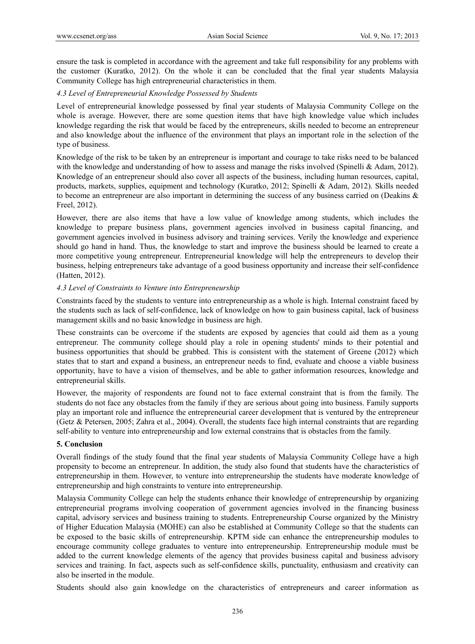ensure the task is completed in accordance with the agreement and take full responsibility for any problems with the customer (Kuratko, 2012). On the whole it can be concluded that the final year students Malaysia Community College has high entrepreneurial characteristics in them.

# *4.3 Level of Entrepreneurial Knowledge Possessed by Students*

Level of entrepreneurial knowledge possessed by final year students of Malaysia Community College on the whole is average. However, there are some question items that have high knowledge value which includes knowledge regarding the risk that would be faced by the entrepreneurs, skills needed to become an entrepreneur and also knowledge about the influence of the environment that plays an important role in the selection of the type of business.

Knowledge of the risk to be taken by an entrepreneur is important and courage to take risks need to be balanced with the knowledge and understanding of how to assess and manage the risks involved (Spinelli & Adam, 2012). Knowledge of an entrepreneur should also cover all aspects of the business, including human resources, capital, products, markets, supplies, equipment and technology (Kuratko, 2012; Spinelli & Adam, 2012). Skills needed to become an entrepreneur are also important in determining the success of any business carried on (Deakins & Freel, 2012).

However, there are also items that have a low value of knowledge among students, which includes the knowledge to prepare business plans, government agencies involved in business capital financing, and government agencies involved in business advisory and training services. Verily the knowledge and experience should go hand in hand. Thus, the knowledge to start and improve the business should be learned to create a more competitive young entrepreneur. Entrepreneurial knowledge will help the entrepreneurs to develop their business, helping entrepreneurs take advantage of a good business opportunity and increase their self-confidence (Hatten, 2012).

# *4.3 Level of Constraints to Venture into Entrepreneurship*

Constraints faced by the students to venture into entrepreneurship as a whole is high. Internal constraint faced by the students such as lack of self-confidence, lack of knowledge on how to gain business capital, lack of business management skills and no basic knowledge in business are high.

These constraints can be overcome if the students are exposed by agencies that could aid them as a young entrepreneur. The community college should play a role in opening students' minds to their potential and business opportunities that should be grabbed. This is consistent with the statement of Greene (2012) which states that to start and expand a business, an entrepreneur needs to find, evaluate and choose a viable business opportunity, have to have a vision of themselves, and be able to gather information resources, knowledge and entrepreneurial skills.

However, the majority of respondents are found not to face external constraint that is from the family. The students do not face any obstacles from the family if they are serious about going into business. Family supports play an important role and influence the entrepreneurial career development that is ventured by the entrepreneur (Getz & Petersen, 2005; Zahra et al., 2004). Overall, the students face high internal constraints that are regarding self-ability to venture into entrepreneurship and low external constrains that is obstacles from the family.

#### **5. Conclusion**

Overall findings of the study found that the final year students of Malaysia Community College have a high propensity to become an entrepreneur. In addition, the study also found that students have the characteristics of entrepreneurship in them. However, to venture into entrepreneurship the students have moderate knowledge of entrepreneurship and high constraints to venture into entrepreneurship.

Malaysia Community College can help the students enhance their knowledge of entrepreneurship by organizing entrepreneurial programs involving cooperation of government agencies involved in the financing business capital, advisory services and business training to students. Entrepreneurship Course organized by the Ministry of Higher Education Malaysia (MOHE) can also be established at Community College so that the students can be exposed to the basic skills of entrepreneurship. KPTM side can enhance the entrepreneurship modules to encourage community college graduates to venture into entrepreneurship. Entrepreneurship module must be added to the current knowledge elements of the agency that provides business capital and business advisory services and training. In fact, aspects such as self-confidence skills, punctuality, enthusiasm and creativity can also be inserted in the module.

Students should also gain knowledge on the characteristics of entrepreneurs and career information as